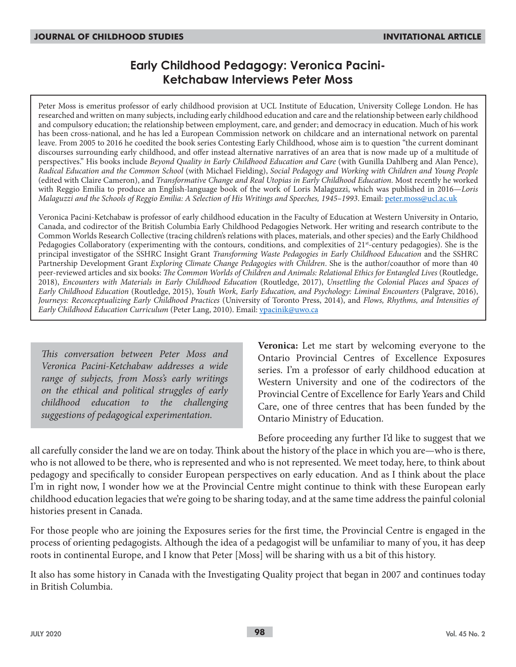# **Early Childhood Pedagogy: Veronica Pacini-Ketchabaw Interviews Peter Moss**

Peter Moss is emeritus professor of early childhood provision at UCL Institute of Education, University College London. He has researched and written on many subjects, including early childhood education and care and the relationship between early childhood and compulsory education; the relationship between employment, care, and gender; and democracy in education. Much of his work has been cross-national, and he has led a European Commission network on childcare and an international network on parental leave. From 2005 to 2016 he coedited the book series Contesting Early Childhood, whose aim is to question "the current dominant discourses surrounding early childhood, and offer instead alternative narratives of an area that is now made up of a multitude of perspectives." His books include *Beyond Quality in Early Childhood Education and Care* (with Gunilla Dahlberg and Alan Pence), *Radical Education and the Common School* (with Michael Fielding), *Social Pedagogy and Working with Children and Young People* (edited with Claire Cameron), and *Transformative Change and Real Utopias in Early Childhood Education*. Most recently he worked with Reggio Emilia to produce an English-language book of the work of Loris Malaguzzi, which was published in 2016—*Loris Malaguzzi and the Schools of Reggio Emilia: A Selection of His Writings and Speeches, 1945–1993*. Email: peter.moss@ucl.ac.uk

Veronica Pacini-Ketchabaw is professor of early childhood education in the Faculty of Education at Western University in Ontario, Canada, and codirector of the British Columbia Early Childhood Pedagogies Network. Her writing and research contribute to the Common Worlds Research Collective (tracing children's relations with places, materials, and other species) and the Early Childhood Pedagogies Collaboratory (experimenting with the contours, conditions, and complexities of 21<sup>st</sup>-century pedagogies). She is the principal investigator of the SSHRC Insight Grant *Transforming Waste Pedagogies in Early Childhood Education* and the SSHRC Partnership Development Grant *Exploring Climate Change Pedagogies with Children*. She is the author/coauthor of more than 40 peer-reviewed articles and six books: *The Common Worlds of Children and Animals: Relational Ethics for Entangled Lives* (Routledge, 2018), *Encounters with Materials in Early Childhood Education* (Routledge, 2017), *Unsettling the Colonial Places and Spaces of Early Childhood Education* (Routledge, 2015), *Youth Work, Early Education, and Psychology: Liminal Encounters* (Palgrave, 2016), *Journeys: Reconceptualizing Early Childhood Practices* (University of Toronto Press, 2014), and *Flows, Rhythms, and Intensities of Early Childhood Education Curriculum* (Peter Lang, 2010). Email: vpacinik@uwo.ca

*This conversation between Peter Moss and Veronica Pacini-Ketchabaw addresses a wide range of subjects, from Moss's early writings on the ethical and political struggles of early childhood education to the challenging suggestions of pedagogical experimentation.*

**Veronica:** Let me start by welcoming everyone to the Ontario Provincial Centres of Excellence Exposures series. I'm a professor of early childhood education at Western University and one of the codirectors of the Provincial Centre of Excellence for Early Years and Child Care, one of three centres that has been funded by the Ontario Ministry of Education.

Before proceeding any further I'd like to suggest that we all carefully consider the land we are on today. Think about the history of the place in which you are—who is there, who is not allowed to be there, who is represented and who is not represented. We meet today, here, to think about pedagogy and specifically to consider European perspectives on early education. And as I think about the place I'm in right now, I wonder how we at the Provincial Centre might continue to think with these European early childhood education legacies that we're going to be sharing today, and at the same time address the painful colonial histories present in Canada.

For those people who are joining the Exposures series for the first time, the Provincial Centre is engaged in the process of orienting pedagogists. Although the idea of a pedagogist will be unfamiliar to many of you, it has deep roots in continental Europe, and I know that Peter [Moss] will be sharing with us a bit of this history.

It also has some history in Canada with the Investigating Quality project that began in 2007 and continues today in British Columbia.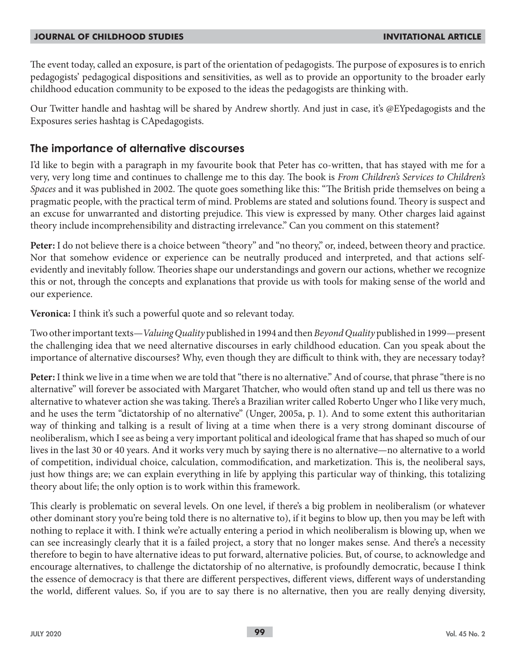The event today, called an exposure, is part of the orientation of pedagogists. The purpose of exposures is to enrich pedagogists' pedagogical dispositions and sensitivities, as well as to provide an opportunity to the broader early childhood education community to be exposed to the ideas the pedagogists are thinking with.

Our Twitter handle and hashtag will be shared by Andrew shortly. And just in case, it's @EYpedagogists and the Exposures series hashtag is CApedagogists.

### **The importance of alternative discourses**

I'd like to begin with a paragraph in my favourite book that Peter has co-written, that has stayed with me for a very, very long time and continues to challenge me to this day. The book is *From Children's Services to Children's Spaces* and it was published in 2002. The quote goes something like this: "The British pride themselves on being a pragmatic people, with the practical term of mind. Problems are stated and solutions found. Theory is suspect and an excuse for unwarranted and distorting prejudice. This view is expressed by many. Other charges laid against theory include incomprehensibility and distracting irrelevance." Can you comment on this statement?

**Peter:** I do not believe there is a choice between "theory" and "no theory," or, indeed, between theory and practice. Nor that somehow evidence or experience can be neutrally produced and interpreted, and that actions selfevidently and inevitably follow. Theories shape our understandings and govern our actions, whether we recognize this or not, through the concepts and explanations that provide us with tools for making sense of the world and our experience.

**Veronica:** I think it's such a powerful quote and so relevant today.

Two other important texts—*Valuing Quality* published in 1994 and then *Beyond Quality* published in 1999—present the challenging idea that we need alternative discourses in early childhood education. Can you speak about the importance of alternative discourses? Why, even though they are difficult to think with, they are necessary today?

**Peter:** I think we live in a time when we are told that "there is no alternative." And of course, that phrase "there is no alternative" will forever be associated with Margaret Thatcher, who would often stand up and tell us there was no alternative to whatever action she was taking. There's a Brazilian writer called Roberto Unger who I like very much, and he uses the term "dictatorship of no alternative" (Unger, 2005a, p. 1). And to some extent this authoritarian way of thinking and talking is a result of living at a time when there is a very strong dominant discourse of neoliberalism, which I see as being a very important political and ideological frame that has shaped so much of our lives in the last 30 or 40 years. And it works very much by saying there is no alternative—no alternative to a world of competition, individual choice, calculation, commodification, and marketization. This is, the neoliberal says, just how things are; we can explain everything in life by applying this particular way of thinking, this totalizing theory about life; the only option is to work within this framework.

This clearly is problematic on several levels. On one level, if there's a big problem in neoliberalism (or whatever other dominant story you're being told there is no alternative to), if it begins to blow up, then you may be left with nothing to replace it with. I think we're actually entering a period in which neoliberalism is blowing up, when we can see increasingly clearly that it is a failed project, a story that no longer makes sense. And there's a necessity therefore to begin to have alternative ideas to put forward, alternative policies. But, of course, to acknowledge and encourage alternatives, to challenge the dictatorship of no alternative, is profoundly democratic, because I think the essence of democracy is that there are different perspectives, different views, different ways of understanding the world, different values. So, if you are to say there is no alternative, then you are really denying diversity,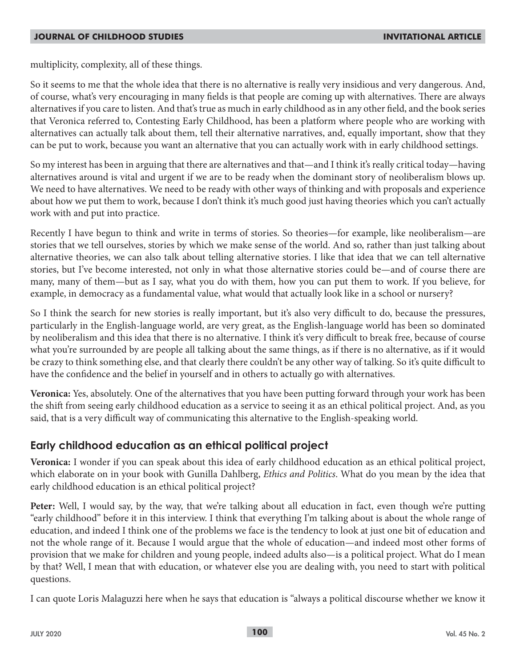multiplicity, complexity, all of these things.

So it seems to me that the whole idea that there is no alternative is really very insidious and very dangerous. And, of course, what's very encouraging in many fields is that people are coming up with alternatives. There are always alternatives if you care to listen. And that's true as much in early childhood as in any other field, and the book series that Veronica referred to, Contesting Early Childhood, has been a platform where people who are working with alternatives can actually talk about them, tell their alternative narratives, and, equally important, show that they can be put to work, because you want an alternative that you can actually work with in early childhood settings.

So my interest has been in arguing that there are alternatives and that—and I think it's really critical today—having alternatives around is vital and urgent if we are to be ready when the dominant story of neoliberalism blows up. We need to have alternatives. We need to be ready with other ways of thinking and with proposals and experience about how we put them to work, because I don't think it's much good just having theories which you can't actually work with and put into practice.

Recently I have begun to think and write in terms of stories. So theories—for example, like neoliberalism—are stories that we tell ourselves, stories by which we make sense of the world. And so, rather than just talking about alternative theories, we can also talk about telling alternative stories. I like that idea that we can tell alternative stories, but I've become interested, not only in what those alternative stories could be—and of course there are many, many of them—but as I say, what you do with them, how you can put them to work. If you believe, for example, in democracy as a fundamental value, what would that actually look like in a school or nursery?

So I think the search for new stories is really important, but it's also very difficult to do, because the pressures, particularly in the English-language world, are very great, as the English-language world has been so dominated by neoliberalism and this idea that there is no alternative. I think it's very difficult to break free, because of course what you're surrounded by are people all talking about the same things, as if there is no alternative, as if it would be crazy to think something else, and that clearly there couldn't be any other way of talking. So it's quite difficult to have the confidence and the belief in yourself and in others to actually go with alternatives.

**Veronica:** Yes, absolutely. One of the alternatives that you have been putting forward through your work has been the shift from seeing early childhood education as a service to seeing it as an ethical political project. And, as you said, that is a very difficult way of communicating this alternative to the English-speaking world.

# **Early childhood education as an ethical political project**

**Veronica:** I wonder if you can speak about this idea of early childhood education as an ethical political project, which elaborate on in your book with Gunilla Dahlberg, *Ethics and Politics*. What do you mean by the idea that early childhood education is an ethical political project?

**Peter:** Well, I would say, by the way, that we're talking about all education in fact, even though we're putting "early childhood" before it in this interview. I think that everything I'm talking about is about the whole range of education, and indeed I think one of the problems we face is the tendency to look at just one bit of education and not the whole range of it. Because I would argue that the whole of education—and indeed most other forms of provision that we make for children and young people, indeed adults also—is a political project. What do I mean by that? Well, I mean that with education, or whatever else you are dealing with, you need to start with political questions.

I can quote Loris Malaguzzi here when he says that education is "always a political discourse whether we know it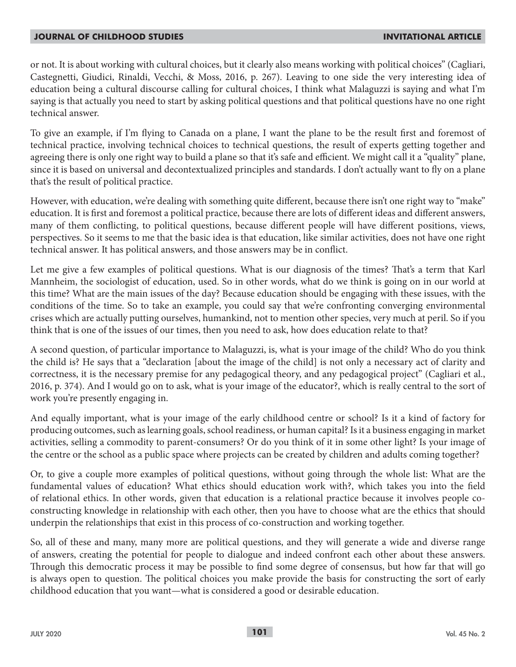or not. It is about working with cultural choices, but it clearly also means working with political choices" (Cagliari, Castegnetti, Giudici, Rinaldi, Vecchi, & Moss, 2016, p. 267). Leaving to one side the very interesting idea of education being a cultural discourse calling for cultural choices, I think what Malaguzzi is saying and what I'm saying is that actually you need to start by asking political questions and that political questions have no one right technical answer.

To give an example, if I'm flying to Canada on a plane, I want the plane to be the result first and foremost of technical practice, involving technical choices to technical questions, the result of experts getting together and agreeing there is only one right way to build a plane so that it's safe and efficient. We might call it a "quality" plane, since it is based on universal and decontextualized principles and standards. I don't actually want to fly on a plane that's the result of political practice.

However, with education, we're dealing with something quite different, because there isn't one right way to "make" education. It is first and foremost a political practice, because there are lots of different ideas and different answers, many of them conflicting, to political questions, because different people will have different positions, views, perspectives. So it seems to me that the basic idea is that education, like similar activities, does not have one right technical answer. It has political answers, and those answers may be in conflict.

Let me give a few examples of political questions. What is our diagnosis of the times? That's a term that Karl Mannheim, the sociologist of education, used. So in other words, what do we think is going on in our world at this time? What are the main issues of the day? Because education should be engaging with these issues, with the conditions of the time. So to take an example, you could say that we're confronting converging environmental crises which are actually putting ourselves, humankind, not to mention other species, very much at peril. So if you think that is one of the issues of our times, then you need to ask, how does education relate to that?

A second question, of particular importance to Malaguzzi, is, what is your image of the child? Who do you think the child is? He says that a "declaration [about the image of the child] is not only a necessary act of clarity and correctness, it is the necessary premise for any pedagogical theory, and any pedagogical project" (Cagliari et al., 2016, p. 374). And I would go on to ask, what is your image of the educator?, which is really central to the sort of work you're presently engaging in.

And equally important, what is your image of the early childhood centre or school? Is it a kind of factory for producing outcomes, such as learning goals, school readiness, or human capital? Is it a business engaging in market activities, selling a commodity to parent-consumers? Or do you think of it in some other light? Is your image of the centre or the school as a public space where projects can be created by children and adults coming together?

Or, to give a couple more examples of political questions, without going through the whole list: What are the fundamental values of education? What ethics should education work with?, which takes you into the field of relational ethics. In other words, given that education is a relational practice because it involves people coconstructing knowledge in relationship with each other, then you have to choose what are the ethics that should underpin the relationships that exist in this process of co-construction and working together.

So, all of these and many, many more are political questions, and they will generate a wide and diverse range of answers, creating the potential for people to dialogue and indeed confront each other about these answers. Through this democratic process it may be possible to find some degree of consensus, but how far that will go is always open to question. The political choices you make provide the basis for constructing the sort of early childhood education that you want—what is considered a good or desirable education.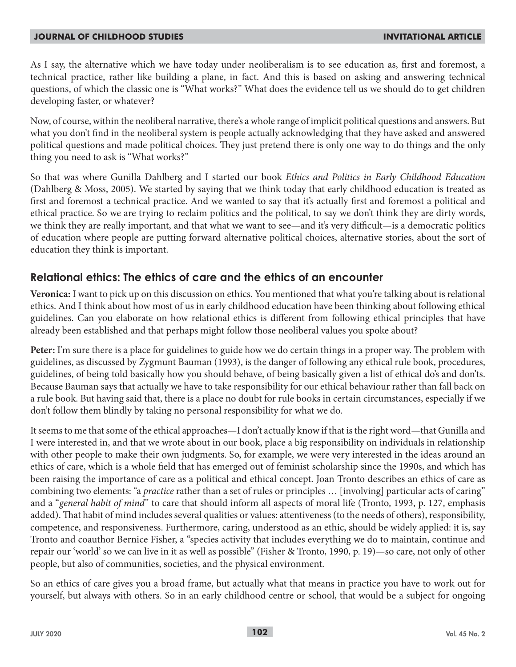As I say, the alternative which we have today under neoliberalism is to see education as, first and foremost, a technical practice, rather like building a plane, in fact. And this is based on asking and answering technical questions, of which the classic one is "What works?" What does the evidence tell us we should do to get children developing faster, or whatever?

Now, of course, within the neoliberal narrative, there's a whole range of implicit political questions and answers. But what you don't find in the neoliberal system is people actually acknowledging that they have asked and answered political questions and made political choices. They just pretend there is only one way to do things and the only thing you need to ask is "What works?"

So that was where Gunilla Dahlberg and I started our book *Ethics and Politics in Early Childhood Education* (Dahlberg & Moss, 2005). We started by saying that we think today that early childhood education is treated as first and foremost a technical practice. And we wanted to say that it's actually first and foremost a political and ethical practice. So we are trying to reclaim politics and the political, to say we don't think they are dirty words, we think they are really important, and that what we want to see—and it's very difficult—is a democratic politics of education where people are putting forward alternative political choices, alternative stories, about the sort of education they think is important.

# **Relational ethics: The ethics of care and the ethics of an encounter**

**Veronica:** I want to pick up on this discussion on ethics. You mentioned that what you're talking about is relational ethics. And I think about how most of us in early childhood education have been thinking about following ethical guidelines. Can you elaborate on how relational ethics is different from following ethical principles that have already been established and that perhaps might follow those neoliberal values you spoke about?

**Peter:** I'm sure there is a place for guidelines to guide how we do certain things in a proper way. The problem with guidelines, as discussed by Zygmunt Bauman (1993), is the danger of following any ethical rule book, procedures, guidelines, of being told basically how you should behave, of being basically given a list of ethical do's and don'ts. Because Bauman says that actually we have to take responsibility for our ethical behaviour rather than fall back on a rule book. But having said that, there is a place no doubt for rule books in certain circumstances, especially if we don't follow them blindly by taking no personal responsibility for what we do.

It seems to me that some of the ethical approaches—I don't actually know if that is the right word—that Gunilla and I were interested in, and that we wrote about in our book, place a big responsibility on individuals in relationship with other people to make their own judgments. So, for example, we were very interested in the ideas around an ethics of care, which is a whole field that has emerged out of feminist scholarship since the 1990s, and which has been raising the importance of care as a political and ethical concept. Joan Tronto describes an ethics of care as combining two elements: "a *practice* rather than a set of rules or principles … [involving] particular acts of caring" and a "*general habit of mind*" to care that should inform all aspects of moral life (Tronto, 1993, p. 127, emphasis added). That habit of mind includes several qualities or values: attentiveness (to the needs of others), responsibility, competence, and responsiveness. Furthermore, caring, understood as an ethic, should be widely applied: it is, say Tronto and coauthor Bernice Fisher, a "species activity that includes everything we do to maintain, continue and repair our 'world' so we can live in it as well as possible" (Fisher & Tronto, 1990, p. 19)—so care, not only of other people, but also of communities, societies, and the physical environment.

So an ethics of care gives you a broad frame, but actually what that means in practice you have to work out for yourself, but always with others. So in an early childhood centre or school, that would be a subject for ongoing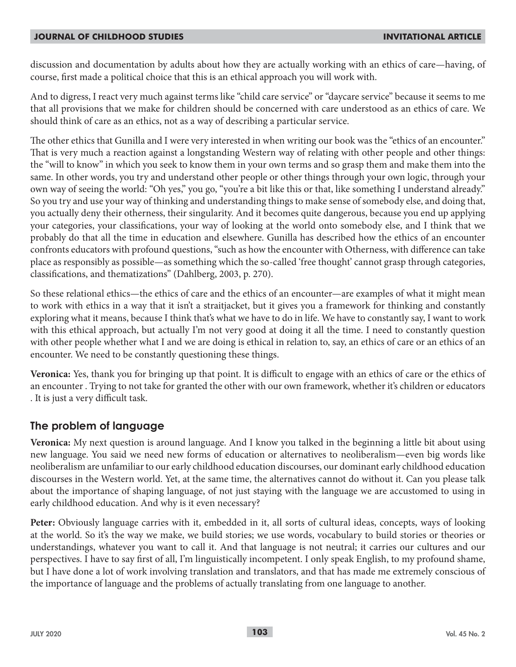discussion and documentation by adults about how they are actually working with an ethics of care—having, of course, first made a political choice that this is an ethical approach you will work with.

And to digress, I react very much against terms like "child care service" or "daycare service" because it seems to me that all provisions that we make for children should be concerned with care understood as an ethics of care. We should think of care as an ethics, not as a way of describing a particular service.

The other ethics that Gunilla and I were very interested in when writing our book was the "ethics of an encounter." That is very much a reaction against a longstanding Western way of relating with other people and other things: the "will to know" in which you seek to know them in your own terms and so grasp them and make them into the same. In other words, you try and understand other people or other things through your own logic, through your own way of seeing the world: "Oh yes," you go, "you're a bit like this or that, like something I understand already." So you try and use your way of thinking and understanding things to make sense of somebody else, and doing that, you actually deny their otherness, their singularity. And it becomes quite dangerous, because you end up applying your categories, your classifications, your way of looking at the world onto somebody else, and I think that we probably do that all the time in education and elsewhere. Gunilla has described how the ethics of an encounter confronts educators with profound questions, "such as how the encounter with Otherness, with difference can take place as responsibly as possible—as something which the so-called 'free thought' cannot grasp through categories, classifications, and thematizations" (Dahlberg, 2003, p. 270).

So these relational ethics—the ethics of care and the ethics of an encounter—are examples of what it might mean to work with ethics in a way that it isn't a straitjacket, but it gives you a framework for thinking and constantly exploring what it means, because I think that's what we have to do in life. We have to constantly say, I want to work with this ethical approach, but actually I'm not very good at doing it all the time. I need to constantly question with other people whether what I and we are doing is ethical in relation to, say, an ethics of care or an ethics of an encounter. We need to be constantly questioning these things.

**Veronica:** Yes, thank you for bringing up that point. It is difficult to engage with an ethics of care or the ethics of an encounter . Trying to not take for granted the other with our own framework, whether it's children or educators . It is just a very difficult task.

# **The problem of language**

**Veronica:** My next question is around language. And I know you talked in the beginning a little bit about using new language. You said we need new forms of education or alternatives to neoliberalism—even big words like neoliberalism are unfamiliar to our early childhood education discourses, our dominant early childhood education discourses in the Western world. Yet, at the same time, the alternatives cannot do without it. Can you please talk about the importance of shaping language, of not just staying with the language we are accustomed to using in early childhood education. And why is it even necessary?

**Peter:** Obviously language carries with it, embedded in it, all sorts of cultural ideas, concepts, ways of looking at the world. So it's the way we make, we build stories; we use words, vocabulary to build stories or theories or understandings, whatever you want to call it. And that language is not neutral; it carries our cultures and our perspectives. I have to say first of all, I'm linguistically incompetent. I only speak English, to my profound shame, but I have done a lot of work involving translation and translators, and that has made me extremely conscious of the importance of language and the problems of actually translating from one language to another.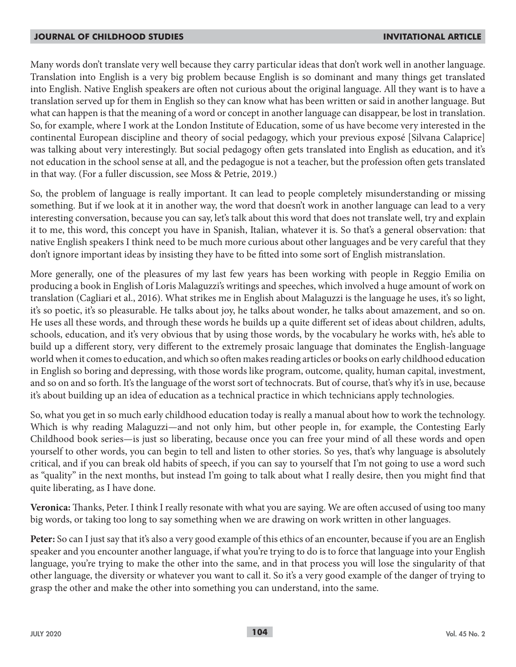Many words don't translate very well because they carry particular ideas that don't work well in another language. Translation into English is a very big problem because English is so dominant and many things get translated into English. Native English speakers are often not curious about the original language. All they want is to have a translation served up for them in English so they can know what has been written or said in another language. But what can happen is that the meaning of a word or concept in another language can disappear, be lost in translation. So, for example, where I work at the London Institute of Education, some of us have become very interested in the continental European discipline and theory of social pedagogy, which your previous exposé [Silvana Calaprice] was talking about very interestingly. But social pedagogy often gets translated into English as education, and it's not education in the school sense at all, and the pedagogue is not a teacher, but the profession often gets translated in that way. (For a fuller discussion, see Moss & Petrie, 2019.)

So, the problem of language is really important. It can lead to people completely misunderstanding or missing something. But if we look at it in another way, the word that doesn't work in another language can lead to a very interesting conversation, because you can say, let's talk about this word that does not translate well, try and explain it to me, this word, this concept you have in Spanish, Italian, whatever it is. So that's a general observation: that native English speakers I think need to be much more curious about other languages and be very careful that they don't ignore important ideas by insisting they have to be fitted into some sort of English mistranslation.

More generally, one of the pleasures of my last few years has been working with people in Reggio Emilia on producing a book in English of Loris Malaguzzi's writings and speeches, which involved a huge amount of work on translation (Cagliari et al., 2016). What strikes me in English about Malaguzzi is the language he uses, it's so light, it's so poetic, it's so pleasurable. He talks about joy, he talks about wonder, he talks about amazement, and so on. He uses all these words, and through these words he builds up a quite different set of ideas about children, adults, schools, education, and it's very obvious that by using those words, by the vocabulary he works with, he's able to build up a different story, very different to the extremely prosaic language that dominates the English-language world when it comes to education, and which so often makes reading articles or books on early childhood education in English so boring and depressing, with those words like program, outcome, quality, human capital, investment, and so on and so forth. It's the language of the worst sort of technocrats. But of course, that's why it's in use, because it's about building up an idea of education as a technical practice in which technicians apply technologies.

So, what you get in so much early childhood education today is really a manual about how to work the technology. Which is why reading Malaguzzi—and not only him, but other people in, for example, the Contesting Early Childhood book series—is just so liberating, because once you can free your mind of all these words and open yourself to other words, you can begin to tell and listen to other stories. So yes, that's why language is absolutely critical, and if you can break old habits of speech, if you can say to yourself that I'm not going to use a word such as "quality" in the next months, but instead I'm going to talk about what I really desire, then you might find that quite liberating, as I have done.

**Veronica:** Thanks, Peter. I think I really resonate with what you are saying. We are often accused of using too many big words, or taking too long to say something when we are drawing on work written in other languages.

**Peter:** So can I just say that it's also a very good example of this ethics of an encounter, because if you are an English speaker and you encounter another language, if what you're trying to do is to force that language into your English language, you're trying to make the other into the same, and in that process you will lose the singularity of that other language, the diversity or whatever you want to call it. So it's a very good example of the danger of trying to grasp the other and make the other into something you can understand, into the same.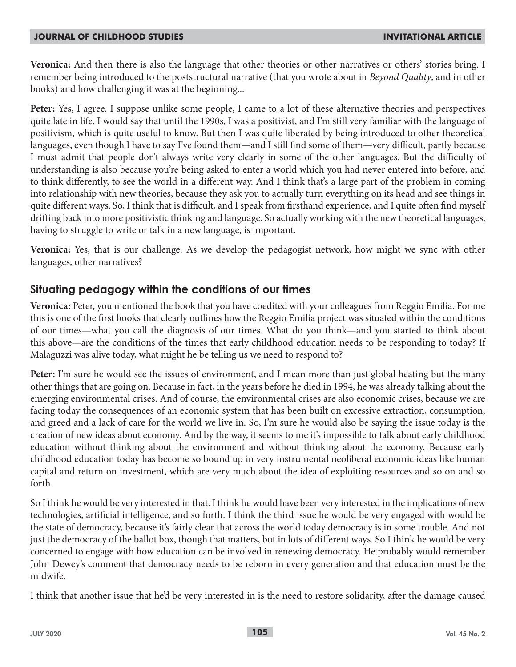**Veronica:** And then there is also the language that other theories or other narratives or others' stories bring. I remember being introduced to the poststructural narrative (that you wrote about in *Beyond Quality*, and in other books) and how challenging it was at the beginning...

**Peter:** Yes, I agree. I suppose unlike some people, I came to a lot of these alternative theories and perspectives quite late in life. I would say that until the 1990s, I was a positivist, and I'm still very familiar with the language of positivism, which is quite useful to know. But then I was quite liberated by being introduced to other theoretical languages, even though I have to say I've found them—and I still find some of them—very difficult, partly because I must admit that people don't always write very clearly in some of the other languages. But the difficulty of understanding is also because you're being asked to enter a world which you had never entered into before, and to think differently, to see the world in a different way. And I think that's a large part of the problem in coming into relationship with new theories, because they ask you to actually turn everything on its head and see things in quite different ways. So, I think that is difficult, and I speak from firsthand experience, and I quite often find myself drifting back into more positivistic thinking and language. So actually working with the new theoretical languages, having to struggle to write or talk in a new language, is important.

**Veronica:** Yes, that is our challenge. As we develop the pedagogist network, how might we sync with other languages, other narratives?

### **Situating pedagogy within the conditions of our times**

**Veronica:** Peter, you mentioned the book that you have coedited with your colleagues from Reggio Emilia. For me this is one of the first books that clearly outlines how the Reggio Emilia project was situated within the conditions of our times—what you call the diagnosis of our times. What do you think—and you started to think about this above—are the conditions of the times that early childhood education needs to be responding to today? If Malaguzzi was alive today, what might he be telling us we need to respond to?

**Peter:** I'm sure he would see the issues of environment, and I mean more than just global heating but the many other things that are going on. Because in fact, in the years before he died in 1994, he was already talking about the emerging environmental crises. And of course, the environmental crises are also economic crises, because we are facing today the consequences of an economic system that has been built on excessive extraction, consumption, and greed and a lack of care for the world we live in. So, I'm sure he would also be saying the issue today is the creation of new ideas about economy. And by the way, it seems to me it's impossible to talk about early childhood education without thinking about the environment and without thinking about the economy. Because early childhood education today has become so bound up in very instrumental neoliberal economic ideas like human capital and return on investment, which are very much about the idea of exploiting resources and so on and so forth.

So I think he would be very interested in that. I think he would have been very interested in the implications of new technologies, artificial intelligence, and so forth. I think the third issue he would be very engaged with would be the state of democracy, because it's fairly clear that across the world today democracy is in some trouble. And not just the democracy of the ballot box, though that matters, but in lots of different ways. So I think he would be very concerned to engage with how education can be involved in renewing democracy. He probably would remember John Dewey's comment that democracy needs to be reborn in every generation and that education must be the midwife.

I think that another issue that he'd be very interested in is the need to restore solidarity, after the damage caused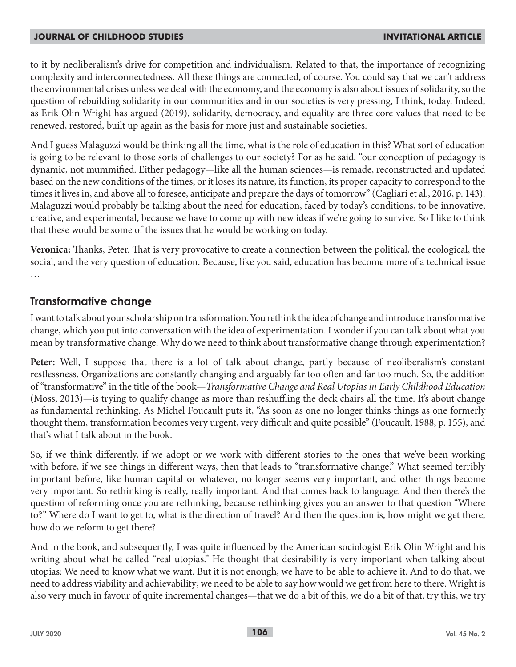to it by neoliberalism's drive for competition and individualism. Related to that, the importance of recognizing complexity and interconnectedness. All these things are connected, of course. You could say that we can't address the environmental crises unless we deal with the economy, and the economy is also about issues of solidarity, so the question of rebuilding solidarity in our communities and in our societies is very pressing, I think, today. Indeed, as Erik Olin Wright has argued (2019), solidarity, democracy, and equality are three core values that need to be renewed, restored, built up again as the basis for more just and sustainable societies.

And I guess Malaguzzi would be thinking all the time, what is the role of education in this? What sort of education is going to be relevant to those sorts of challenges to our society? For as he said, "our conception of pedagogy is dynamic, not mummified. Either pedagogy—like all the human sciences—is remade, reconstructed and updated based on the new conditions of the times, or it loses its nature, its function, its proper capacity to correspond to the times it lives in, and above all to foresee, anticipate and prepare the days of tomorrow" (Cagliari et al., 2016, p. 143). Malaguzzi would probably be talking about the need for education, faced by today's conditions, to be innovative, creative, and experimental, because we have to come up with new ideas if we're going to survive. So I like to think that these would be some of the issues that he would be working on today.

**Veronica:** Thanks, Peter. That is very provocative to create a connection between the political, the ecological, the social, and the very question of education. Because, like you said, education has become more of a technical issue …

## **Transformative change**

I want to talk about your scholarship on transformation. You rethink the idea of change and introduce transformative change, which you put into conversation with the idea of experimentation. I wonder if you can talk about what you mean by transformative change. Why do we need to think about transformative change through experimentation?

**Peter:** Well, I suppose that there is a lot of talk about change, partly because of neoliberalism's constant restlessness. Organizations are constantly changing and arguably far too often and far too much. So, the addition of "transformative" in the title of the book—*Transformative Change and Real Utopias in Early Childhood Education* (Moss, 2013)—is trying to qualify change as more than reshuffling the deck chairs all the time. It's about change as fundamental rethinking. As Michel Foucault puts it, "As soon as one no longer thinks things as one formerly thought them, transformation becomes very urgent, very difficult and quite possible" (Foucault, 1988, p. 155), and that's what I talk about in the book.

So, if we think differently, if we adopt or we work with different stories to the ones that we've been working with before, if we see things in different ways, then that leads to "transformative change." What seemed terribly important before, like human capital or whatever, no longer seems very important, and other things become very important. So rethinking is really, really important. And that comes back to language. And then there's the question of reforming once you are rethinking, because rethinking gives you an answer to that question "Where to?" Where do I want to get to, what is the direction of travel? And then the question is, how might we get there, how do we reform to get there?

And in the book, and subsequently, I was quite influenced by the American sociologist Erik Olin Wright and his writing about what he called "real utopias." He thought that desirability is very important when talking about utopias: We need to know what we want. But it is not enough; we have to be able to achieve it. And to do that, we need to address viability and achievability; we need to be able to say how would we get from here to there. Wright is also very much in favour of quite incremental changes—that we do a bit of this, we do a bit of that, try this, we try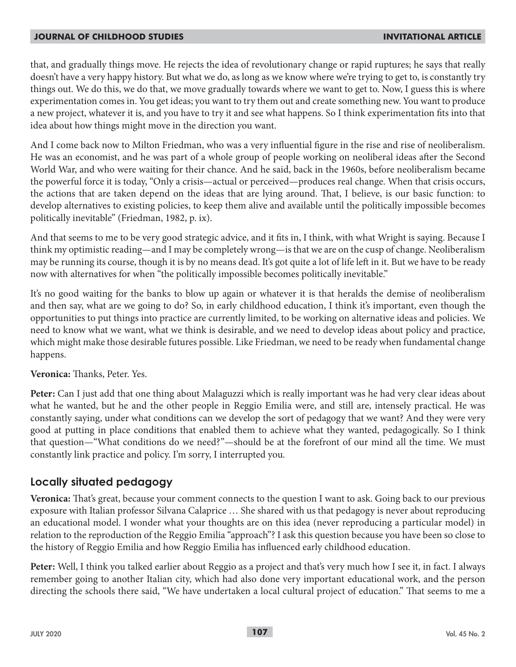that, and gradually things move. He rejects the idea of revolutionary change or rapid ruptures; he says that really doesn't have a very happy history. But what we do, as long as we know where we're trying to get to, is constantly try things out. We do this, we do that, we move gradually towards where we want to get to. Now, I guess this is where experimentation comes in. You get ideas; you want to try them out and create something new. You want to produce a new project, whatever it is, and you have to try it and see what happens. So I think experimentation fits into that idea about how things might move in the direction you want.

And I come back now to Milton Friedman, who was a very influential figure in the rise and rise of neoliberalism. He was an economist, and he was part of a whole group of people working on neoliberal ideas after the Second World War, and who were waiting for their chance. And he said, back in the 1960s, before neoliberalism became the powerful force it is today, "Only a crisis—actual or perceived—produces real change. When that crisis occurs, the actions that are taken depend on the ideas that are lying around. That, I believe, is our basic function: to develop alternatives to existing policies, to keep them alive and available until the politically impossible becomes politically inevitable" (Friedman, 1982, p. ix).

And that seems to me to be very good strategic advice, and it fits in, I think, with what Wright is saying. Because I think my optimistic reading—and I may be completely wrong—is that we are on the cusp of change. Neoliberalism may be running its course, though it is by no means dead. It's got quite a lot of life left in it. But we have to be ready now with alternatives for when "the politically impossible becomes politically inevitable."

It's no good waiting for the banks to blow up again or whatever it is that heralds the demise of neoliberalism and then say, what are we going to do? So, in early childhood education, I think it's important, even though the opportunities to put things into practice are currently limited, to be working on alternative ideas and policies. We need to know what we want, what we think is desirable, and we need to develop ideas about policy and practice, which might make those desirable futures possible. Like Friedman, we need to be ready when fundamental change happens.

#### **Veronica:** Thanks, Peter. Yes.

**Peter:** Can I just add that one thing about Malaguzzi which is really important was he had very clear ideas about what he wanted, but he and the other people in Reggio Emilia were, and still are, intensely practical. He was constantly saying, under what conditions can we develop the sort of pedagogy that we want? And they were very good at putting in place conditions that enabled them to achieve what they wanted, pedagogically. So I think that question—"What conditions do we need?"—should be at the forefront of our mind all the time. We must constantly link practice and policy. I'm sorry, I interrupted you.

## **Locally situated pedagogy**

**Veronica:** That's great, because your comment connects to the question I want to ask. Going back to our previous exposure with Italian professor Silvana Calaprice … She shared with us that pedagogy is never about reproducing an educational model. I wonder what your thoughts are on this idea (never reproducing a particular model) in relation to the reproduction of the Reggio Emilia "approach"? I ask this question because you have been so close to the history of Reggio Emilia and how Reggio Emilia has influenced early childhood education.

**Peter:** Well, I think you talked earlier about Reggio as a project and that's very much how I see it, in fact. I always remember going to another Italian city, which had also done very important educational work, and the person directing the schools there said, "We have undertaken a local cultural project of education." That seems to me a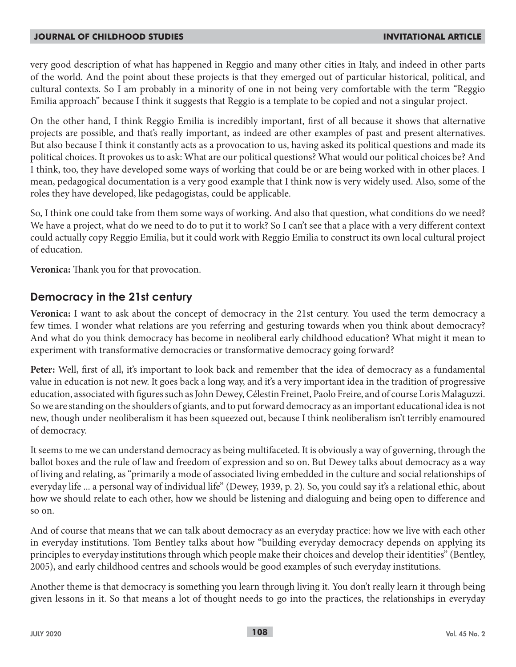very good description of what has happened in Reggio and many other cities in Italy, and indeed in other parts of the world. And the point about these projects is that they emerged out of particular historical, political, and cultural contexts. So I am probably in a minority of one in not being very comfortable with the term "Reggio Emilia approach" because I think it suggests that Reggio is a template to be copied and not a singular project.

On the other hand, I think Reggio Emilia is incredibly important, first of all because it shows that alternative projects are possible, and that's really important, as indeed are other examples of past and present alternatives. But also because I think it constantly acts as a provocation to us, having asked its political questions and made its political choices. It provokes us to ask: What are our political questions? What would our political choices be? And I think, too, they have developed some ways of working that could be or are being worked with in other places. I mean, pedagogical documentation is a very good example that I think now is very widely used. Also, some of the roles they have developed, like pedagogistas, could be applicable.

So, I think one could take from them some ways of working. And also that question, what conditions do we need? We have a project, what do we need to do to put it to work? So I can't see that a place with a very different context could actually copy Reggio Emilia, but it could work with Reggio Emilia to construct its own local cultural project of education.

**Veronica:** Thank you for that provocation.

### **Democracy in the 21st century**

**Veronica:** I want to ask about the concept of democracy in the 21st century. You used the term democracy a few times. I wonder what relations are you referring and gesturing towards when you think about democracy? And what do you think democracy has become in neoliberal early childhood education? What might it mean to experiment with transformative democracies or transformative democracy going forward?

**Peter:** Well, first of all, it's important to look back and remember that the idea of democracy as a fundamental value in education is not new. It goes back a long way, and it's a very important idea in the tradition of progressive education, associated with figures such as John Dewey, Célestin Freinet, Paolo Freire, and of course Loris Malaguzzi. So we are standing on the shoulders of giants, and to put forward democracy as an important educational idea is not new, though under neoliberalism it has been squeezed out, because I think neoliberalism isn't terribly enamoured of democracy.

It seems to me we can understand democracy as being multifaceted. It is obviously a way of governing, through the ballot boxes and the rule of law and freedom of expression and so on. But Dewey talks about democracy as a way of living and relating, as "primarily a mode of associated living embedded in the culture and social relationships of everyday life ... a personal way of individual life" (Dewey, 1939, p. 2). So, you could say it's a relational ethic, about how we should relate to each other, how we should be listening and dialoguing and being open to difference and so on.

And of course that means that we can talk about democracy as an everyday practice: how we live with each other in everyday institutions. Tom Bentley talks about how "building everyday democracy depends on applying its principles to everyday institutions through which people make their choices and develop their identities" (Bentley, 2005), and early childhood centres and schools would be good examples of such everyday institutions.

Another theme is that democracy is something you learn through living it. You don't really learn it through being given lessons in it. So that means a lot of thought needs to go into the practices, the relationships in everyday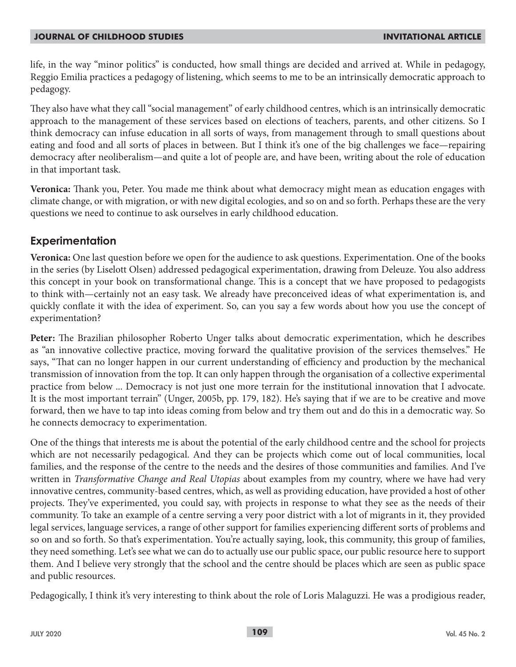life, in the way "minor politics" is conducted, how small things are decided and arrived at. While in pedagogy, Reggio Emilia practices a pedagogy of listening, which seems to me to be an intrinsically democratic approach to pedagogy.

They also have what they call "social management" of early childhood centres, which is an intrinsically democratic approach to the management of these services based on elections of teachers, parents, and other citizens. So I think democracy can infuse education in all sorts of ways, from management through to small questions about eating and food and all sorts of places in between. But I think it's one of the big challenges we face—repairing democracy after neoliberalism—and quite a lot of people are, and have been, writing about the role of education in that important task.

**Veronica:** Thank you, Peter. You made me think about what democracy might mean as education engages with climate change, or with migration, or with new digital ecologies, and so on and so forth. Perhaps these are the very questions we need to continue to ask ourselves in early childhood education.

## **Experimentation**

**Veronica:** One last question before we open for the audience to ask questions. Experimentation. One of the books in the series (by Liselott Olsen) addressed pedagogical experimentation, drawing from Deleuze. You also address this concept in your book on transformational change. This is a concept that we have proposed to pedagogists to think with—certainly not an easy task. We already have preconceived ideas of what experimentation is, and quickly conflate it with the idea of experiment. So, can you say a few words about how you use the concept of experimentation?

**Peter:** The Brazilian philosopher Roberto Unger talks about democratic experimentation, which he describes as "an innovative collective practice, moving forward the qualitative provision of the services themselves." He says, "That can no longer happen in our current understanding of efficiency and production by the mechanical transmission of innovation from the top. It can only happen through the organisation of a collective experimental practice from below ... Democracy is not just one more terrain for the institutional innovation that I advocate. It is the most important terrain" (Unger, 2005b, pp. 179, 182). He's saying that if we are to be creative and move forward, then we have to tap into ideas coming from below and try them out and do this in a democratic way. So he connects democracy to experimentation.

One of the things that interests me is about the potential of the early childhood centre and the school for projects which are not necessarily pedagogical. And they can be projects which come out of local communities, local families, and the response of the centre to the needs and the desires of those communities and families. And I've written in *Transformative Change and Real Utopias* about examples from my country, where we have had very innovative centres, community-based centres, which, as well as providing education, have provided a host of other projects. They've experimented, you could say, with projects in response to what they see as the needs of their community. To take an example of a centre serving a very poor district with a lot of migrants in it, they provided legal services, language services, a range of other support for families experiencing different sorts of problems and so on and so forth. So that's experimentation. You're actually saying, look, this community, this group of families, they need something. Let's see what we can do to actually use our public space, our public resource here to support them. And I believe very strongly that the school and the centre should be places which are seen as public space and public resources.

Pedagogically, I think it's very interesting to think about the role of Loris Malaguzzi. He was a prodigious reader,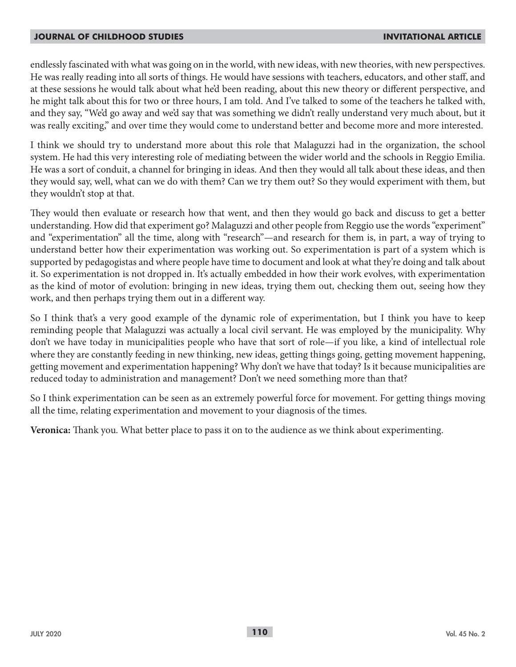endlessly fascinated with what was going on in the world, with new ideas, with new theories, with new perspectives. He was really reading into all sorts of things. He would have sessions with teachers, educators, and other staff, and at these sessions he would talk about what he'd been reading, about this new theory or different perspective, and he might talk about this for two or three hours, I am told. And I've talked to some of the teachers he talked with, and they say, "We'd go away and we'd say that was something we didn't really understand very much about, but it was really exciting," and over time they would come to understand better and become more and more interested.

I think we should try to understand more about this role that Malaguzzi had in the organization, the school system. He had this very interesting role of mediating between the wider world and the schools in Reggio Emilia. He was a sort of conduit, a channel for bringing in ideas. And then they would all talk about these ideas, and then they would say, well, what can we do with them? Can we try them out? So they would experiment with them, but they wouldn't stop at that.

They would then evaluate or research how that went, and then they would go back and discuss to get a better understanding. How did that experiment go? Malaguzzi and other people from Reggio use the words "experiment" and "experimentation" all the time, along with "research"—and research for them is, in part, a way of trying to understand better how their experimentation was working out. So experimentation is part of a system which is supported by pedagogistas and where people have time to document and look at what they're doing and talk about it. So experimentation is not dropped in. It's actually embedded in how their work evolves, with experimentation as the kind of motor of evolution: bringing in new ideas, trying them out, checking them out, seeing how they work, and then perhaps trying them out in a different way.

So I think that's a very good example of the dynamic role of experimentation, but I think you have to keep reminding people that Malaguzzi was actually a local civil servant. He was employed by the municipality. Why don't we have today in municipalities people who have that sort of role—if you like, a kind of intellectual role where they are constantly feeding in new thinking, new ideas, getting things going, getting movement happening, getting movement and experimentation happening? Why don't we have that today? Is it because municipalities are reduced today to administration and management? Don't we need something more than that?

So I think experimentation can be seen as an extremely powerful force for movement. For getting things moving all the time, relating experimentation and movement to your diagnosis of the times.

**Veronica:** Thank you. What better place to pass it on to the audience as we think about experimenting.